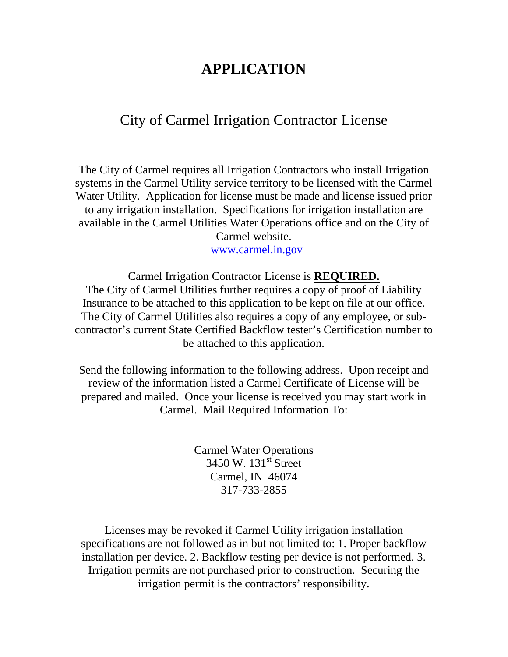## **APPLICATION**

## City of Carmel Irrigation Contractor License

The City of Carmel requires all Irrigation Contractors who install Irrigation systems in the Carmel Utility service territory to be licensed with the Carmel Water Utility. Application for license must be made and license issued prior to any irrigation installation. Specifications for irrigation installation are available in the Carmel Utilities Water Operations office and on the City of Carmel website.

[www.carmel.in.gov](http://www.carmel.in.gov/)

Carmel Irrigation Contractor License is **REQUIRED.** The City of Carmel Utilities further requires a copy of proof of Liability Insurance to be attached to this application to be kept on file at our office. The City of Carmel Utilities also requires a copy of any employee, or subcontractor's current State Certified Backflow tester's Certification number to be attached to this application.

Send the following information to the following address. Upon receipt and review of the information listed a Carmel Certificate of License will be prepared and mailed. Once your license is received you may start work in Carmel. Mail Required Information To:

> Carmel Water Operations  $3450 \text{ W}$ .  $131 \text{ }^{\text{st}}$  Street Carmel, IN 46074 317-733-2855

Licenses may be revoked if Carmel Utility irrigation installation specifications are not followed as in but not limited to: 1. Proper backflow installation per device. 2. Backflow testing per device is not performed. 3. Irrigation permits are not purchased prior to construction. Securing the irrigation permit is the contractors' responsibility.